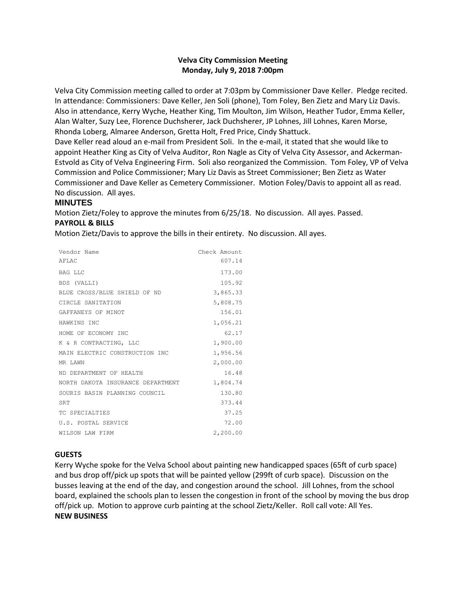# **Velva City Commission Meeting Monday, July 9, 2018 7:00pm**

Velva City Commission meeting called to order at 7:03pm by Commissioner Dave Keller. Pledge recited. In attendance: Commissioners: Dave Keller, Jen Soli (phone), Tom Foley, Ben Zietz and Mary Liz Davis. Also in attendance, Kerry Wyche, Heather King, Tim Moulton, Jim Wilson, Heather Tudor, Emma Keller, Alan Walter, Suzy Lee, Florence Duchsherer, Jack Duchsherer, JP Lohnes, Jill Lohnes, Karen Morse, Rhonda Loberg, Almaree Anderson, Gretta Holt, Fred Price, Cindy Shattuck.

Dave Keller read aloud an e-mail from President Soli. In the e-mail, it stated that she would like to appoint Heather King as City of Velva Auditor, Ron Nagle as City of Velva City Assessor, and Ackerman-Estvold as City of Velva Engineering Firm. Soli also reorganized the Commission. Tom Foley, VP of Velva Commission and Police Commissioner; Mary Liz Davis as Street Commissioner; Ben Zietz as Water Commissioner and Dave Keller as Cemetery Commissioner. Motion Foley/Davis to appoint all as read. No discussion. All ayes.

## **MINUTES**

Motion Zietz/Foley to approve the minutes from 6/25/18. No discussion. All ayes. Passed. **PAYROLL & BILLS**

Motion Zietz/Davis to approve the bills in their entirety. No discussion. All ayes.

| Vendor Name                       | Check Amount |
|-----------------------------------|--------------|
| AFLAC                             | 607.14       |
| <b>BAG LLC</b>                    | 173.00       |
| BDS (VALLI)                       | 105.92       |
| BLUE CROSS/BLUE SHIELD OF ND      | 3,865.33     |
| CIRCLE SANITATION                 | 5,808.75     |
| GAFFANEYS OF MINOT                | 156.01       |
| HAWKINS INC                       | 1,056.21     |
| HOME OF ECONOMY INC               | 62.17        |
| K & R CONTRACTING, LLC            | 1,900.00     |
| MAIN ELECTRIC CONSTRUCTION INC    | 1,956.56     |
| MR TAWN                           | 2,000.00     |
| ND DEPARTMENT OF HEALTH           | 16.48        |
| NORTH DAKOTA INSURANCE DEPARTMENT | 1,804.74     |
| SOURIS BASIN PLANNING COUNCIL     | 130.80       |
| <b>SRT</b>                        | 373.44       |
| TC SPECIALTIES                    | 37.25        |
| U.S. POSTAL SERVICE               | 72.00        |
| WILSON LAW FIRM                   | 2,200.00     |

# **GUESTS**

Kerry Wyche spoke for the Velva School about painting new handicapped spaces (65ft of curb space) and bus drop off/pick up spots that will be painted yellow (299ft of curb space). Discussion on the busses leaving at the end of the day, and congestion around the school. Jill Lohnes, from the school board, explained the schools plan to lessen the congestion in front of the school by moving the bus drop off/pick up. Motion to approve curb painting at the school Zietz/Keller. Roll call vote: All Yes. **NEW BUSINESS**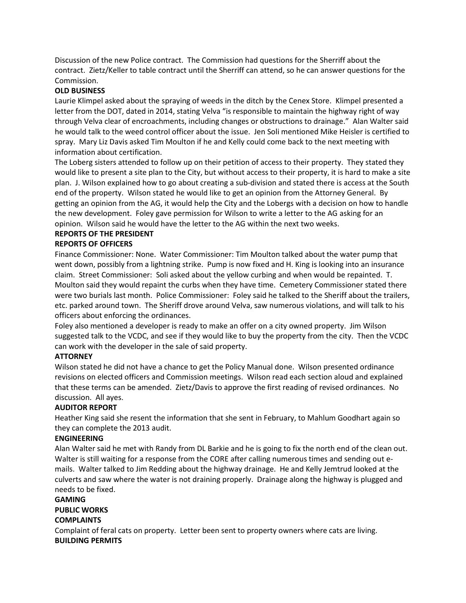Discussion of the new Police contract. The Commission had questions for the Sherriff about the contract. Zietz/Keller to table contract until the Sherriff can attend, so he can answer questions for the Commission.

## **OLD BUSINESS**

Laurie Klimpel asked about the spraying of weeds in the ditch by the Cenex Store. Klimpel presented a letter from the DOT, dated in 2014, stating Velva "is responsible to maintain the highway right of way through Velva clear of encroachments, including changes or obstructions to drainage." Alan Walter said he would talk to the weed control officer about the issue. Jen Soli mentioned Mike Heisler is certified to spray. Mary Liz Davis asked Tim Moulton if he and Kelly could come back to the next meeting with information about certification.

The Loberg sisters attended to follow up on their petition of access to their property. They stated they would like to present a site plan to the City, but without access to their property, it is hard to make a site plan. J. Wilson explained how to go about creating a sub-division and stated there is access at the South end of the property. Wilson stated he would like to get an opinion from the Attorney General. By getting an opinion from the AG, it would help the City and the Lobergs with a decision on how to handle the new development. Foley gave permission for Wilson to write a letter to the AG asking for an opinion. Wilson said he would have the letter to the AG within the next two weeks.

## **REPORTS OF THE PRESIDENT**

#### **REPORTS OF OFFICERS**

Finance Commissioner: None. Water Commissioner: Tim Moulton talked about the water pump that went down, possibly from a lightning strike. Pump is now fixed and H. King is looking into an insurance claim. Street Commissioner: Soli asked about the yellow curbing and when would be repainted. T. Moulton said they would repaint the curbs when they have time. Cemetery Commissioner stated there were two burials last month. Police Commissioner: Foley said he talked to the Sheriff about the trailers, etc. parked around town. The Sheriff drove around Velva, saw numerous violations, and will talk to his officers about enforcing the ordinances.

Foley also mentioned a developer is ready to make an offer on a city owned property. Jim Wilson suggested talk to the VCDC, and see if they would like to buy the property from the city. Then the VCDC can work with the developer in the sale of said property.

# **ATTORNEY**

Wilson stated he did not have a chance to get the Policy Manual done. Wilson presented ordinance revisions on elected officers and Commission meetings. Wilson read each section aloud and explained that these terms can be amended. Zietz/Davis to approve the first reading of revised ordinances. No discussion. All ayes.

# **AUDITOR REPORT**

Heather King said she resent the information that she sent in February, to Mahlum Goodhart again so they can complete the 2013 audit.

#### **ENGINEERING**

Alan Walter said he met with Randy from DL Barkie and he is going to fix the north end of the clean out. Walter is still waiting for a response from the CORE after calling numerous times and sending out emails. Walter talked to Jim Redding about the highway drainage. He and Kelly Jemtrud looked at the culverts and saw where the water is not draining properly. Drainage along the highway is plugged and needs to be fixed.

#### **GAMING**

**PUBLIC WORKS**

# **COMPLAINTS**

Complaint of feral cats on property. Letter been sent to property owners where cats are living. **BUILDING PERMITS**